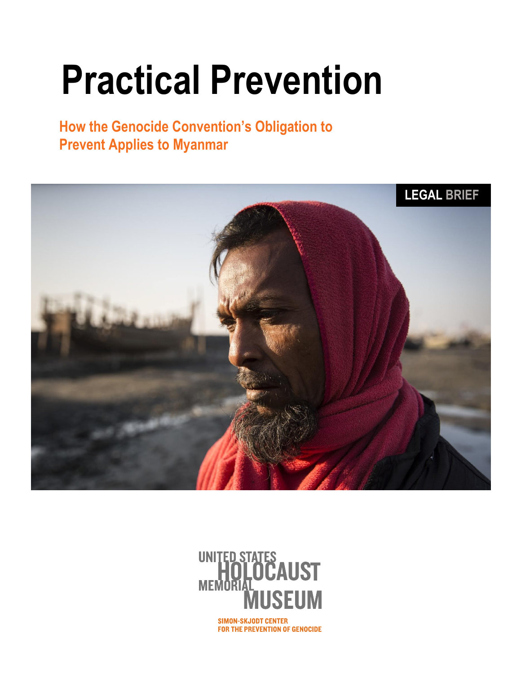# **Practical Prevention**

**How the Genocide Convention's Obligation to Prevent Applies to Myanmar**





**SIMON-SKJODT CENTER** FOR THE PREVENTION OF GENOCIDE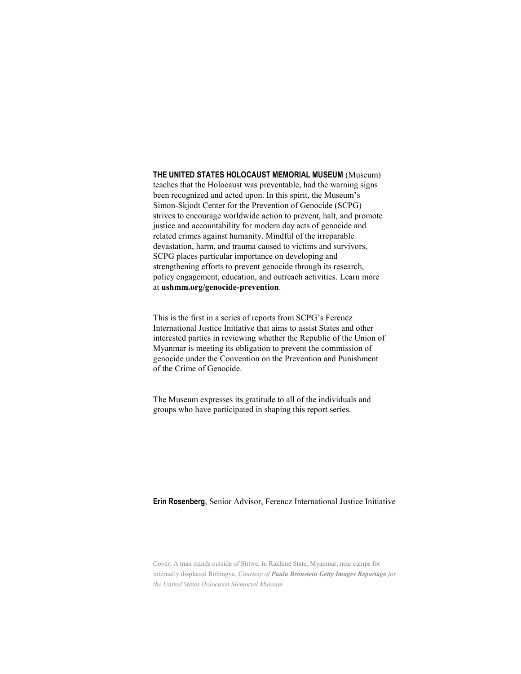#### **THE UNITED STATES HOLOCAUST MEMORIAL MUSEUM** (Museum)

teaches that the Holocaust was preventable, had the warning signs been recognized and acted upon. In this spirit, the Museum's Simon-Skjodt Center for the Prevention of Genocide (SCPG) strives to encourage worldwide action to prevent, halt, and promote justice and accountability for modern day acts of genocide and related crimes against humanity. Mindful of the irreparable devastation, harm, and trauma caused to victims and survivors, SCPG places particular importance on developing and strengthening efforts to prevent genocide through its research, policy engagement, education, and outreach activities. Learn more at **ushmm.org/genocide-prevention**.

This is the first in a series of reports from SCPG's Ferencz International Justice Initiative that aims to assist States and other interested parties in reviewing whether the Republic of the Union of Myanmar is meeting its obligation to prevent the commission of genocide under the Convention on the Prevention and Punishment of the Crime of Genocide.

The Museum expresses its gratitude to all of the individuals and groups who have participated in shaping this report series.

#### **Erin Rosenberg**, Senior Advisor, Ferencz International Justice Initiative

Cover: A man stands outside of Sittwe, in Rakhine State, Myanmar, near camps for internally displaced Rohingya. *Courtesy of Paula Bronstein Getty Images Reportage for the United States Holocaust Memorial Museum*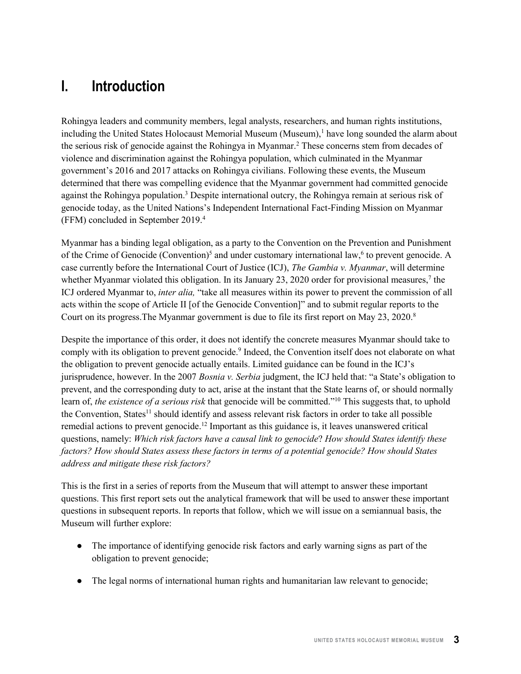# **I. Introduction**

Rohingya leaders and community members, legal analysts, researchers, and human rights institutions, including the United States Holocaust Memorial Museum (Museum), $<sup>1</sup>$  have long sounded the alarm about</sup> the serious risk of genocide against the Rohingya in Myanmar.2 These concerns stem from decades of violence and discrimination against the Rohingya population, which culminated in the Myanmar government's 2016 and 2017 attacks on Rohingya civilians. Following these events, the Museum determined that there was compelling evidence that the Myanmar government had committed genocide against the Rohingya population.3 Despite international outcry, the Rohingya remain at serious risk of genocide today, as the United Nations's Independent International Fact-Finding Mission on Myanmar (FFM) concluded in September 2019.4

Myanmar has a binding legal obligation, as a party to the Convention on the Prevention and Punishment of the Crime of Genocide (Convention)<sup>5</sup> and under customary international law,<sup>6</sup> to prevent genocide. A case currently before the International Court of Justice (ICJ), *The Gambia v. Myanmar*, will determine whether Myanmar violated this obligation. In its January 23, 2020 order for provisional measures,<sup>7</sup> the ICJ ordered Myanmar to, *inter alia,* "take all measures within its power to prevent the commission of all acts within the scope of Article II [of the Genocide Convention]" and to submit regular reports to the Court on its progress. The Myanmar government is due to file its first report on May 23, 2020.<sup>8</sup>

Despite the importance of this order, it does not identify the concrete measures Myanmar should take to comply with its obligation to prevent genocide.<sup>9</sup> Indeed, the Convention itself does not elaborate on what the obligation to prevent genocide actually entails. Limited guidance can be found in the ICJ's jurisprudence, however. In the 2007 *Bosnia v. Serbia* judgment, the ICJ held that: "a State's obligation to prevent, and the corresponding duty to act, arise at the instant that the State learns of, or should normally learn of, *the existence of a serious risk* that genocide will be committed."<sup>10</sup> This suggests that, to uphold the Convention, States<sup>11</sup> should identify and assess relevant risk factors in order to take all possible remedial actions to prevent genocide.12 Important as this guidance is, it leaves unanswered critical questions, namely: *Which risk factors have a causal link to genocide*? *How should States identify these factors? How should States assess these factors in terms of a potential genocide? How should States address and mitigate these risk factors?*

This is the first in a series of reports from the Museum that will attempt to answer these important questions. This first report sets out the analytical framework that will be used to answer these important questions in subsequent reports. In reports that follow, which we will issue on a semiannual basis, the Museum will further explore:

- The importance of identifying genocide risk factors and early warning signs as part of the obligation to prevent genocide;
- The legal norms of international human rights and humanitarian law relevant to genocide;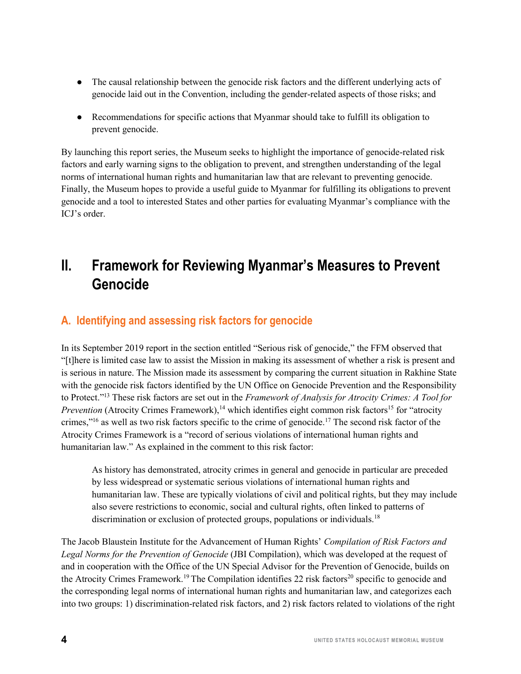- The causal relationship between the genocide risk factors and the different underlying acts of genocide laid out in the Convention, including the gender-related aspects of those risks; and
- Recommendations for specific actions that Myanmar should take to fulfill its obligation to prevent genocide.

By launching this report series, the Museum seeks to highlight the importance of genocide-related risk factors and early warning signs to the obligation to prevent, and strengthen understanding of the legal norms of international human rights and humanitarian law that are relevant to preventing genocide. Finally, the Museum hopes to provide a useful guide to Myanmar for fulfilling its obligations to prevent genocide and a tool to interested States and other parties for evaluating Myanmar's compliance with the ICJ's order.

# **II. Framework for Reviewing Myanmar's Measures to Prevent Genocide**

# **A. Identifying and assessing risk factors for genocide**

In its September 2019 report in the section entitled "Serious risk of genocide," the FFM observed that "[t]here is limited case law to assist the Mission in making its assessment of whether a risk is present and is serious in nature. The Mission made its assessment by comparing the current situation in Rakhine State with the genocide risk factors identified by the UN Office on Genocide Prevention and the Responsibility to Protect."<sup>13</sup> These risk factors are set out in the *Framework of Analysis for Atrocity Crimes: A Tool for Prevention* (Atrocity Crimes Framework),<sup>14</sup> which identifies eight common risk factors<sup>15</sup> for "atrocity" crimes,"<sup>16</sup> as well as two risk factors specific to the crime of genocide.17 The second risk factor of the Atrocity Crimes Framework is a "record of serious violations of international human rights and humanitarian law." As explained in the comment to this risk factor:

As history has demonstrated, atrocity crimes in general and genocide in particular are preceded by less widespread or systematic serious violations of international human rights and humanitarian law. These are typically violations of civil and political rights, but they may include also severe restrictions to economic, social and cultural rights, often linked to patterns of discrimination or exclusion of protected groups, populations or individuals.<sup>18</sup>

The Jacob Blaustein Institute for the Advancement of Human Rights' *Compilation of Risk Factors and Legal Norms for the Prevention of Genocide* (JBI Compilation), which was developed at the request of and in cooperation with the Office of the UN Special Advisor for the Prevention of Genocide, builds on the Atrocity Crimes Framework.<sup>19</sup> The Compilation identifies 22 risk factors<sup>20</sup> specific to genocide and the corresponding legal norms of international human rights and humanitarian law, and categorizes each into two groups: 1) discrimination-related risk factors, and 2) risk factors related to violations of the right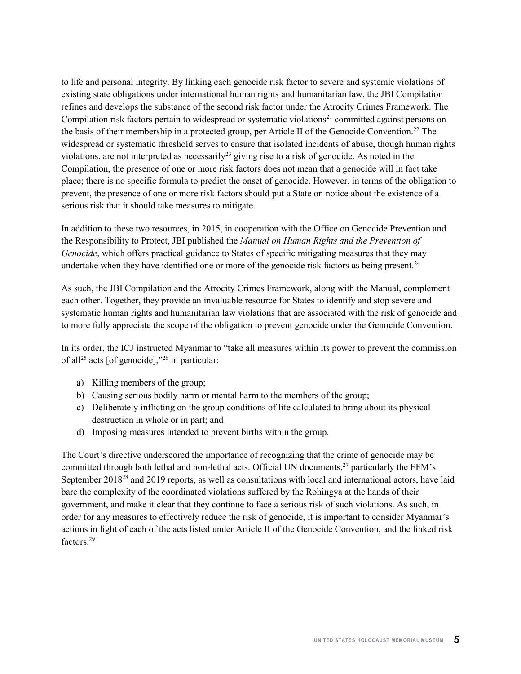to life and personal integrity. By linking each genocide risk factor to severe and systemic violations of existing state obligations under international human rights and humanitarian law, the JBI Compilation refines and develops the substance of the second risk factor under the Atrocity Crimes Framework. The Compilation risk factors pertain to widespread or systematic violations<sup>21</sup> committed against persons on the basis of their membership in a protected group, per Article II of the Genocide Convention.<sup>22</sup> The widespread or systematic threshold serves to ensure that isolated incidents of abuse, though human rights violations, are not interpreted as necessarily<sup>23</sup> giving rise to a risk of genocide. As noted in the Compilation, the presence of one or more risk factors does not mean that a genocide will in fact take place; there is no specific formula to predict the onset of genocide. However, in terms of the obligation to prevent, the presence of one or more risk factors should put a State on notice about the existence of a serious risk that it should take measures to mitigate.

In addition to these two resources, in 2015, in cooperation with the Office on Genocide Prevention and the Responsibility to Protect, JBI published the *Manual on Human Rights and the Prevention of Genocide*, which offers practical guidance to States of specific mitigating measures that they may undertake when they have identified one or more of the genocide risk factors as being present.<sup>24</sup>

As such, the JBI Compilation and the Atrocity Crimes Framework, along with the Manual, complement each other. Together, they provide an invaluable resource for States to identify and stop severe and systematic human rights and humanitarian law violations that are associated with the risk of genocide and to more fully appreciate the scope of the obligation to prevent genocide under the Genocide Convention.

In its order, the ICJ instructed Myanmar to "take all measures within its power to prevent the commission of all<sup>25</sup> acts [of genocide],"<sup>26</sup> in particular:

- a) Killing members of the group;
- b) Causing serious bodily harm or mental harm to the members of the group;
- c) Deliberately inflicting on the group conditions of life calculated to bring about its physical destruction in whole or in part; and
- d) Imposing measures intended to prevent births within the group.

The Court's directive underscored the importance of recognizing that the crime of genocide may be committed through both lethal and non-lethal acts. Official UN documents,<sup>27</sup> particularly the FFM's September 2018<sup>28</sup> and 2019 reports, as well as consultations with local and international actors, have laid bare the complexity of the coordinated violations suffered by the Rohingya at the hands of their government, and make it clear that they continue to face a serious risk of such violations. As such, in order for any measures to effectively reduce the risk of genocide, it is important to consider Myanmar's actions in light of each of the acts listed under Article II of the Genocide Convention, and the linked risk factors<sup>29</sup>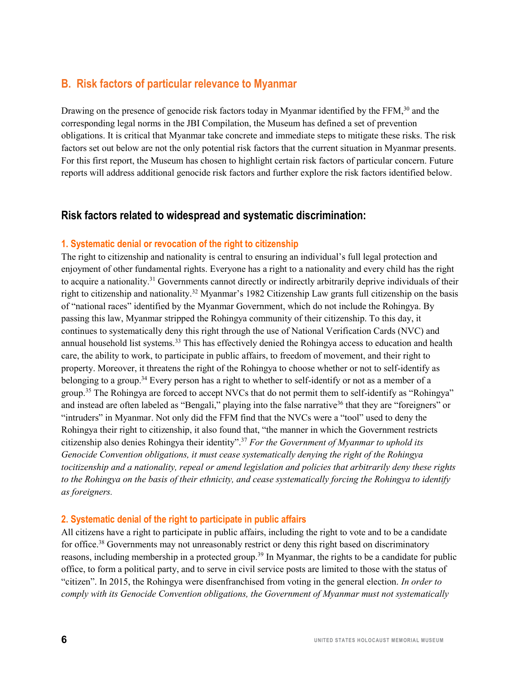## **B. Risk factors of particular relevance to Myanmar**

Drawing on the presence of genocide risk factors today in Myanmar identified by the FFM,<sup>30</sup> and the corresponding legal norms in the JBI Compilation, the Museum has defined a set of prevention obligations. It is critical that Myanmar take concrete and immediate steps to mitigate these risks. The risk factors set out below are not the only potential risk factors that the current situation in Myanmar presents. For this first report, the Museum has chosen to highlight certain risk factors of particular concern. Future reports will address additional genocide risk factors and further explore the risk factors identified below.

## **Risk factors related to widespread and systematic discrimination:**

#### **1. Systematic denial or revocation of the right to citizenship**

The right to citizenship and nationality is central to ensuring an individual's full legal protection and enjoyment of other fundamental rights. Everyone has a right to a nationality and every child has the right to acquire a nationality.31 Governments cannot directly or indirectly arbitrarily deprive individuals of their right to citizenship and nationality.32 Myanmar's 1982 Citizenship Law grants full citizenship on the basis of "national races" identified by the Myanmar Government, which do not include the Rohingya. By passing this law, Myanmar stripped the Rohingya community of their citizenship. To this day, it continues to systematically deny this right through the use of National Verification Cards (NVC) and annual household list systems.<sup>33</sup> This has effectively denied the Rohingya access to education and health care, the ability to work, to participate in public affairs, to freedom of movement, and their right to property. Moreover, it threatens the right of the Rohingya to choose whether or not to self-identify as belonging to a group.<sup>34</sup> Every person has a right to whether to self-identify or not as a member of a group.<sup>35</sup> The Rohingya are forced to accept NVCs that do not permit them to self-identify as "Rohingya" and instead are often labeled as "Bengali," playing into the false narrative<sup>36</sup> that they are "foreigners" or "intruders" in Myanmar. Not only did the FFM find that the NVCs were a "tool" used to deny the Rohingya their right to citizenship, it also found that, "the manner in which the Government restricts citizenship also denies Rohingya their identity".<sup>37</sup> *For the Government of Myanmar to uphold its Genocide Convention obligations, it must cease systematically denying the right of the Rohingya tocitizenship and a nationality, repeal or amend legislation and policies that arbitrarily deny these rights to the Rohingya on the basis of their ethnicity, and cease systematically forcing the Rohingya to identify as foreigners.*

#### **2. Systematic denial of the right to participate in public affairs**

All citizens have a right to participate in public affairs, including the right to vote and to be a candidate for office.<sup>38</sup> Governments may not unreasonably restrict or deny this right based on discriminatory reasons, including membership in a protected group.<sup>39</sup> In Myanmar, the rights to be a candidate for public office, to form a political party, and to serve in civil service posts are limited to those with the status of "citizen". In 2015, the Rohingya were disenfranchised from voting in the general election. *In order to comply with its Genocide Convention obligations, the Government of Myanmar must not systematically*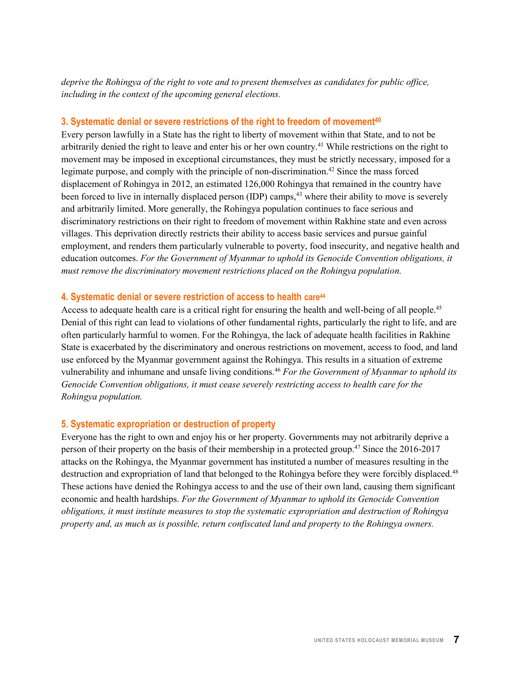*deprive the Rohingya of the right to vote and to present themselves as candidates for public office, including in the context of the upcoming general elections.*

#### **3. Systematic denial or severe restrictions of the right to freedom of movement40**

Every person lawfully in a State has the right to liberty of movement within that State, and to not be arbitrarily denied the right to leave and enter his or her own country.41 While restrictions on the right to movement may be imposed in exceptional circumstances, they must be strictly necessary, imposed for a legimate purpose, and comply with the principle of non-discrimination.42 Since the mass forced displacement of Rohingya in 2012, an estimated 126,000 Rohingya that remained in the country have been forced to live in internally displaced person (IDP) camps,<sup>43</sup> where their ability to move is severely and arbitrarily limited. More generally, the Rohingya population continues to face serious and discriminatory restrictions on their right to freedom of movement within Rakhine state and even across villages. This deprivation directly restricts their ability to access basic services and pursue gainful employment, and renders them particularly vulnerable to poverty, food insecurity, and negative health and education outcomes. *For the Government of Myanmar to uphold its Genocide Convention obligations, it must remove the discriminatory movement restrictions placed on the Rohingya population.*

### **4. Systematic denial or severe restriction of access to health care44**

Access to adequate health care is a critical right for ensuring the health and well-being of all people.<sup>45</sup> Denial of this right can lead to violations of other fundamental rights, particularly the right to life, and are often particularly harmful to women. For the Rohingya, the lack of adequate health facilities in Rakhine State is exacerbated by the discriminatory and onerous restrictions on movement, access to food, and land use enforced by the Myanmar government against the Rohingya. This results in a situation of extreme vulnerability and inhumane and unsafe living conditions.<sup>46</sup> *For the Government of Myanmar to uphold its Genocide Convention obligations, it must cease severely restricting access to health care for the Rohingya population.*

## **5. Systematic expropriation or destruction of property**

Everyone has the right to own and enjoy his or her property. Governments may not arbitrarily deprive a person of their property on the basis of their membership in a protected group.<sup>47</sup> Since the 2016-2017 attacks on the Rohingya, the Myanmar government has instituted a number of measures resulting in the destruction and expropriation of land that belonged to the Rohingya before they were forcibly displaced.<sup>48</sup> These actions have denied the Rohingya access to and the use of their own land, causing them significant economic and health hardships. *For the Government of Myanmar to uphold its Genocide Convention obligations, it must institute measures to stop the systematic expropriation and destruction of Rohingya property and, as much as is possible, return confiscated land and property to the Rohingya owners.*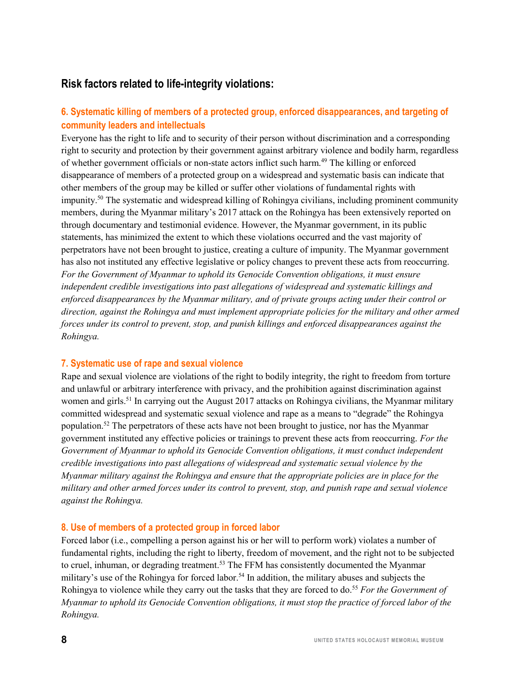# **Risk factors related to life-integrity violations:**

## **6. Systematic killing of members of a protected group, enforced disappearances, and targeting of community leaders and intellectuals**

Everyone has the right to life and to security of their person without discrimination and a corresponding right to security and protection by their government against arbitrary violence and bodily harm, regardless of whether government officials or non-state actors inflict such harm.49 The killing or enforced disappearance of members of a protected group on a widespread and systematic basis can indicate that other members of the group may be killed or suffer other violations of fundamental rights with impunity.50 The systematic and widespread killing of Rohingya civilians, including prominent community members, during the Myanmar military's 2017 attack on the Rohingya has been extensively reported on through documentary and testimonial evidence. However, the Myanmar government, in its public statements, has minimized the extent to which these violations occurred and the vast majority of perpetrators have not been brought to justice, creating a culture of impunity. The Myanmar government has also not instituted any effective legislative or policy changes to prevent these acts from reoccurring. *For the Government of Myanmar to uphold its Genocide Convention obligations, it must ensure independent credible investigations into past allegations of widespread and systematic killings and enforced disappearances by the Myanmar military, and of private groups acting under their control or direction, against the Rohingya and must implement appropriate policies for the military and other armed forces under its control to prevent, stop, and punish killings and enforced disappearances against the Rohingya.*

#### **7. Systematic use of rape and sexual violence**

Rape and sexual violence are violations of the right to bodily integrity, the right to freedom from torture and unlawful or arbitrary interference with privacy, and the prohibition against discrimination against women and girls.<sup>51</sup> In carrying out the August 2017 attacks on Rohingya civilians, the Myanmar military committed widespread and systematic sexual violence and rape as a means to "degrade" the Rohingya population.52 The perpetrators of these acts have not been brought to justice, nor has the Myanmar government instituted any effective policies or trainings to prevent these acts from reoccurring. *For the Government of Myanmar to uphold its Genocide Convention obligations, it must conduct independent credible investigations into past allegations of widespread and systematic sexual violence by the Myanmar military against the Rohingya and ensure that the appropriate policies are in place for the military and other armed forces under its control to prevent, stop, and punish rape and sexual violence against the Rohingya.*

#### **8. Use of members of a protected group in forced labor**

Forced labor (i.e., compelling a person against his or her will to perform work) violates a number of fundamental rights, including the right to liberty, freedom of movement, and the right not to be subjected to cruel, inhuman, or degrading treatment.<sup>53</sup> The FFM has consistently documented the Myanmar military's use of the Rohingya for forced labor.<sup>54</sup> In addition, the military abuses and subjects the Rohingya to violence while they carry out the tasks that they are forced to do.<sup>55</sup> *For the Government of Myanmar to uphold its Genocide Convention obligations, it must stop the practice of forced labor of the Rohingya.*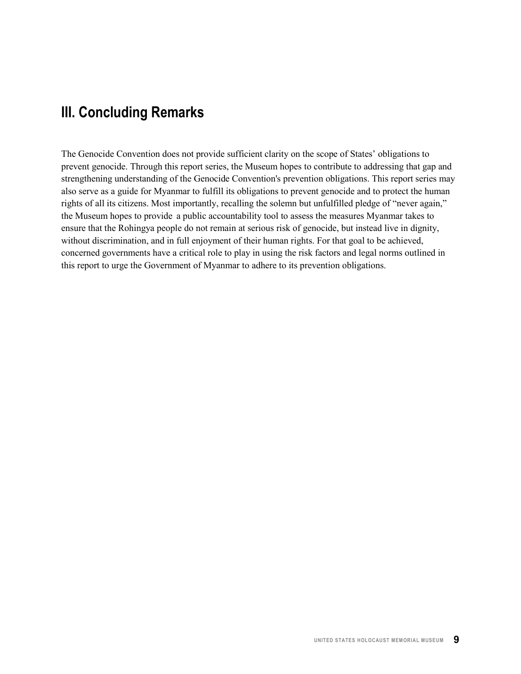# **III. Concluding Remarks**

The Genocide Convention does not provide sufficient clarity on the scope of States' obligations to prevent genocide. Through this report series, the Museum hopes to contribute to addressing that gap and strengthening understanding of the Genocide Convention's prevention obligations. This report series may also serve as a guide for Myanmar to fulfill its obligations to prevent genocide and to protect the human rights of all its citizens. Most importantly, recalling the solemn but unfulfilled pledge of "never again," the Museum hopes to provide a public accountability tool to assess the measures Myanmar takes to ensure that the Rohingya people do not remain at serious risk of genocide, but instead live in dignity, without discrimination, and in full enjoyment of their human rights. For that goal to be achieved, concerned governments have a critical role to play in using the risk factors and legal norms outlined in this report to urge the Government of Myanmar to adhere to its prevention obligations.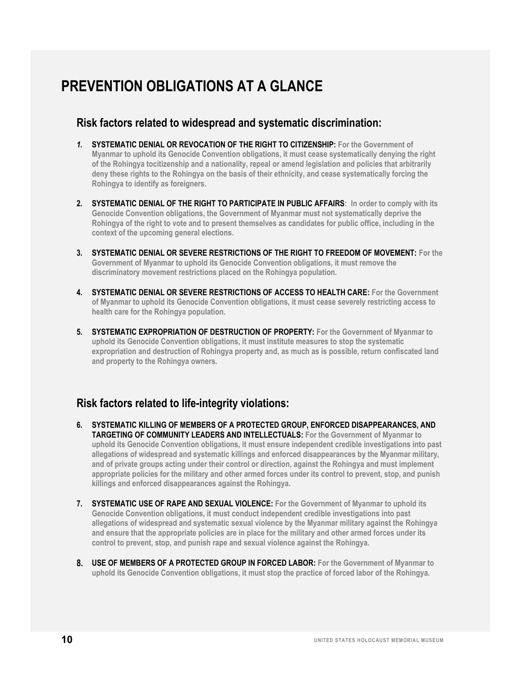# **PREVENTION OBLIGATIONS AT A GLANCE**

## **Risk factors related to widespread and systematic discrimination:**

- *1.* **SYSTEMATIC DENIAL OR REVOCATION OF THE RIGHT TO CITIZENSHIP: For the Government of Myanmar to uphold its Genocide Convention obligations, it must cease systematically denying the right of the Rohingya tocitizenship and a nationality, repeal or amend legislation and policies that arbitrarily deny these rights to the Rohingya on the basis of their ethnicity, and cease systematically forcing the Rohingya to identify as foreigners.**
- **2. SYSTEMATIC DENIAL OF THE RIGHT TO PARTICIPATE IN PUBLIC AFFAIRS: In order to comply with its Genocide Convention obligations, the Government of Myanmar must not systematically deprive the Rohingya of the right to vote and to present themselves as candidates for public office, including in the context of the upcoming general elections.**
- **3. SYSTEMATIC DENIAL OR SEVERE RESTRICTIONS OF THE RIGHT TO FREEDOM OF MOVEMENT: For the Government of Myanmar to uphold its Genocide Convention obligations, it must remove the discriminatory movement restrictions placed on the Rohingya population.**
- **4. SYSTEMATIC DENIAL OR SEVERE RESTRICTIONS OF ACCESS TO HEALTH CARE: For the Government of Myanmar to uphold its Genocide Convention obligations, it must cease severely restricting access to health care for the Rohingya population.**
- **5. SYSTEMATIC EXPROPRIATION OF DESTRUCTION OF PROPERTY: For the Government of Myanmar to uphold its Genocide Convention obligations, it must institute measures to stop the systematic expropriation and destruction of Rohingya property and, as much as is possible, return confiscated land and property to the Rohingya owners.**

# **Risk factors related to life-integrity violations:**

- **6. SYSTEMATIC KILLING OF MEMBERS OF A PROTECTED GROUP, ENFORCED DISAPPEARANCES, AND TARGETING OF COMMUNITY LEADERS AND INTELLECTUALS: For the Government of Myanmar to uphold its Genocide Convention obligations, it must ensure independent credible investigations into past allegations of widespread and systematic killings and enforced disappearances by the Myanmar military, and of private groups acting under their control or direction, against the Rohingya and must implement appropriate policies for the military and other armed forces under its control to prevent, stop, and punish killings and enforced disappearances against the Rohingya.**
- **7. SYSTEMATIC USE OF RAPE AND SEXUAL VIOLENCE: For the Government of Myanmar to uphold its Genocide Convention obligations, it must conduct independent credible investigations into past allegations of widespread and systematic sexual violence by the Myanmar military against the Rohingya and ensure that the appropriate policies are in place for the military and other armed forces under its control to prevent, stop, and punish rape and sexual violence against the Rohingya.**
- **8. USE OF MEMBERS OF A PROTECTED GROUP IN FORCED LABOR: For the Government of Myanmar to uphold its Genocide Convention obligations, it must stop the practice of forced labor of the Rohingya.**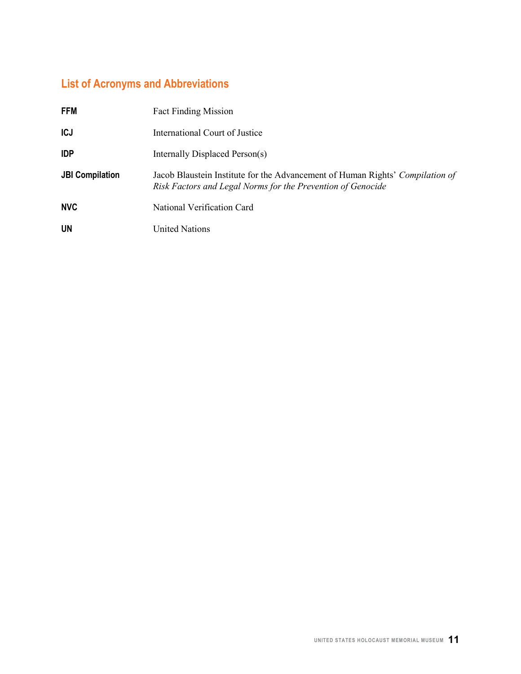# **List of Acronyms and Abbreviations**

| <b>FFM</b>             | <b>Fact Finding Mission</b>                                                                                                                  |
|------------------------|----------------------------------------------------------------------------------------------------------------------------------------------|
| <b>ICJ</b>             | International Court of Justice                                                                                                               |
| <b>IDP</b>             | Internally Displaced Person(s)                                                                                                               |
| <b>JBI Compilation</b> | Jacob Blaustein Institute for the Advancement of Human Rights' Compilation of<br>Risk Factors and Legal Norms for the Prevention of Genocide |
| <b>NVC</b>             | National Verification Card                                                                                                                   |
| <b>UN</b>              | <b>United Nations</b>                                                                                                                        |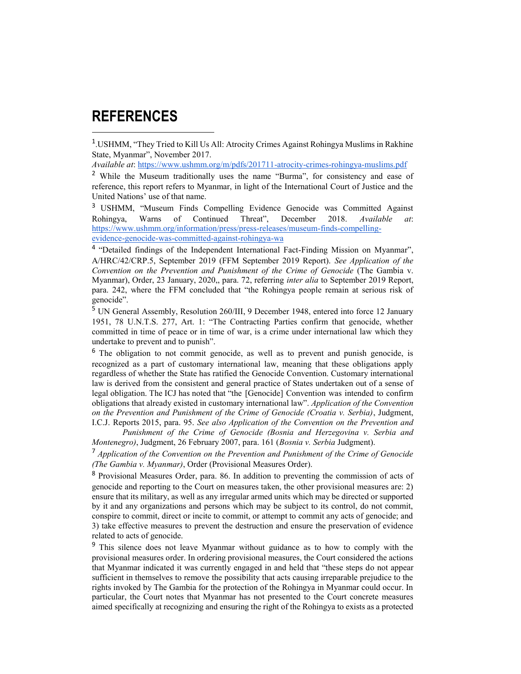# **REFERENCES**

 $\overline{a}$ 

<sup>1</sup>.USHMM, "They Tried to Kill Us All: Atrocity Crimes Against Rohingya Muslims in Rakhine State, Myanmar", November 2017.

*Available at*: https://www.ushmm.org/m/pdfs/201711-atrocity-crimes-rohingya-muslims.pdf

<sup>2</sup> While the Museum traditionally uses the name "Burma", for consistency and ease of reference, this report refers to Myanmar, in light of the International Court of Justice and the United Nations' use of that name.

<sup>3</sup> USHMM, "Museum Finds Compelling Evidence Genocide was Committed Against Rohingya, Warns of Continued Threat", December 2018. *Available at*: https://www.ushmm.org/information/press/press-releases/museum-finds-compellingevidence-genocide-was-committed-against-rohingya-wa

<sup>4</sup> "Detailed findings of the Independent International Fact-Finding Mission on Myanmar", A/HRC/42/CRP.5, September 2019 (FFM September 2019 Report). *See Application of the Convention on the Prevention and Punishment of the Crime of Genocide* (The Gambia v. Myanmar), Order, 23 January, 2020,, para. 72, referring *inter alia* to September 2019 Report, para. 242, where the FFM concluded that "the Rohingya people remain at serious risk of genocide".

<sup>5</sup> UN General Assembly, Resolution 260/III, 9 December 1948, entered into force 12 January 1951, 78 U.N.T.S. 277, Art. 1: "The Contracting Parties confirm that genocide, whether committed in time of peace or in time of war, is a crime under international law which they undertake to prevent and to punish".

<sup>6</sup> The obligation to not commit genocide, as well as to prevent and punish genocide, is recognized as a part of customary international law, meaning that these obligations apply regardless of whether the State has ratified the Genocide Convention. Customary international law is derived from the consistent and general practice of States undertaken out of a sense of legal obligation. The ICJ has noted that "the [Genocide] Convention was intended to confirm obligations that already existed in customary international law". *Application of the Convention on the Prevention and Punishment of the Crime of Genocide (Croatia v. Serbia)*, Judgment, I.C.J. Reports 2015, para. 95. *See also Application of the Convention on the Prevention and*

*Punishment of the Crime of Genocide (Bosnia and Herzegovina v. Serbia and Montenegro)*, Judgment, 26 February 2007, para. 161 (*Bosnia v. Serbia* Judgment).

<sup>7</sup> *Application of the Convention on the Prevention and Punishment of the Crime of Genocide (The Gambia v. Myanmar)*, Order (Provisional Measures Order).

<sup>8</sup> Provisional Measures Order, para. 86. In addition to preventing the commission of acts of genocide and reporting to the Court on measures taken, the other provisional measures are: 2) ensure that its military, as well as any irregular armed units which may be directed or supported by it and any organizations and persons which may be subject to its control, do not commit, conspire to commit, direct or incite to commit, or attempt to commit any acts of genocide; and 3) take effective measures to prevent the destruction and ensure the preservation of evidence related to acts of genocide.

<sup>9</sup> This silence does not leave Myanmar without guidance as to how to comply with the provisional measures order. In ordering provisional measures, the Court considered the actions that Myanmar indicated it was currently engaged in and held that "these steps do not appear sufficient in themselves to remove the possibility that acts causing irreparable prejudice to the rights invoked by The Gambia for the protection of the Rohingya in Myanmar could occur. In particular, the Court notes that Myanmar has not presented to the Court concrete measures aimed specifically at recognizing and ensuring the right of the Rohingya to exists as a protected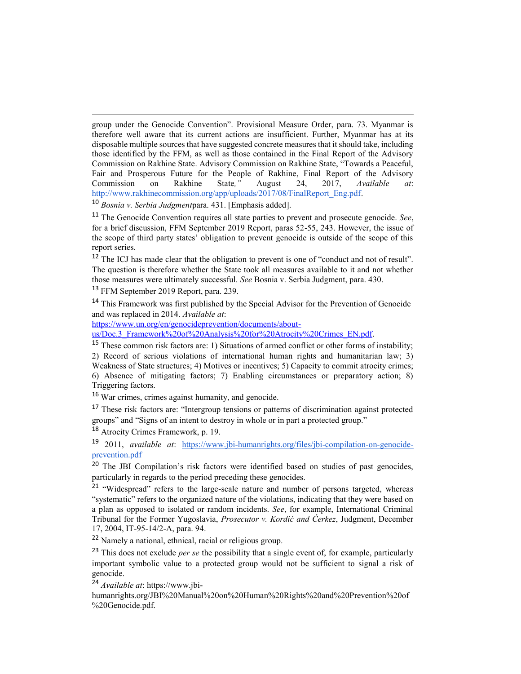group under the Genocide Convention". Provisional Measure Order, para. 73. Myanmar is therefore well aware that its current actions are insufficient. Further, Myanmar has at its disposable multiple sources that have suggested concrete measures that it should take, including those identified by the FFM, as well as those contained in the Final Report of the Advisory Commission on Rakhine State. Advisory Commission on Rakhine State, "Towards a Peaceful, Fair and Prosperous Future for the People of Rakhine, Final Report of the Advisory Commission on Rakhine State*,"* August 24, 2017, *Available at*: http://www.rakhinecommission.org/app/uploads/2017/08/FinalReport\_Eng.pdf.

<sup>10</sup> *Bosnia v. Serbia Judgment*para. 431. [Emphasis added].

<sup>12</sup> The ICJ has made clear that the obligation to prevent is one of "conduct and not of result". The question is therefore whether the State took all measures available to it and not whether those measures were ultimately successful. *See* Bosnia v. Serbia Judgment, para. 430.

<sup>13</sup> FFM September 2019 Report, para. 239.

 $\overline{a}$ 

<sup>14</sup> This Framework was first published by the Special Advisor for the Prevention of Genocide and was replaced in 2014. *Available at*:

https://www.un.org/en/genocideprevention/documents/about-

us/Doc.3\_Framework%20of%20Analysis%20for%20Atrocity%20Crimes\_EN.pdf.

<sup>15</sup> These common risk factors are: 1) Situations of armed conflict or other forms of instability; 2) Record of serious violations of international human rights and humanitarian law; 3) Weakness of State structures; 4) Motives or incentives; 5) Capacity to commit atrocity crimes; 6) Absence of mitigating factors; 7) Enabling circumstances or preparatory action; 8) Triggering factors.

<sup>16</sup> War crimes, crimes against humanity, and genocide.

<sup>17</sup> These risk factors are: "Intergroup tensions or patterns of discrimination against protected groups" and "Signs of an intent to destroy in whole or in part a protected group."

<sup>18</sup> Atrocity Crimes Framework, p. 19.

<sup>19</sup> 2011, *available at*: https://www.jbi-humanrights.org/files/jbi-compilation-on-genocideprevention.pdf

<sup>20</sup> The JBI Compilation's risk factors were identified based on studies of past genocides, particularly in regards to the period preceding these genocides.

<sup>21</sup> "Widespread" refers to the large-scale nature and number of persons targeted, whereas "systematic" refers to the organized nature of the violations, indicating that they were based on a plan as opposed to isolated or random incidents. *See*, for example, International Criminal Tribunal for the Former Yugoslavia, *Prosecutor v. Kordić and Ćerkez*, Judgment, December 17, 2004, IT-95-14/2-A, para. 94.

<sup>22</sup> Namely a national, ethnical, racial or religious group.

<sup>23</sup> This does not exclude *per se* the possibility that a single event of, for example, particularly important symbolic value to a protected group would not be sufficient to signal a risk of genocide.

<sup>24</sup> *Available at*: https://www.jbi-

humanrights.org/JBI%20Manual%20on%20Human%20Rights%20and%20Prevention%20of %20Genocide.pdf.

<sup>11</sup> The Genocide Convention requires all state parties to prevent and prosecute genocide. *See*, for a brief discussion, FFM September 2019 Report, paras 52-55, 243. However, the issue of the scope of third party states' obligation to prevent genocide is outside of the scope of this report series.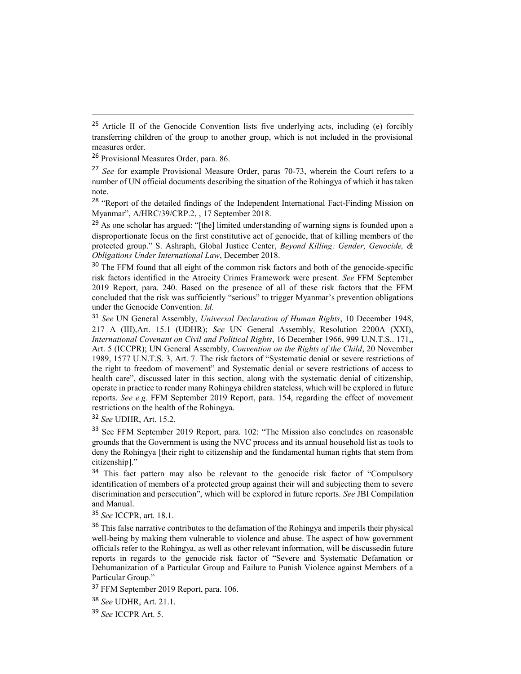<sup>29</sup> As one scholar has argued: "[the] limited understanding of warning signs is founded upon a disproportionate focus on the first constitutive act of genocide, that of killing members of the protected group." S. Ashraph, Global Justice Center, *Beyond Killing: Gender, Genocide, & Obligations Under International Law*, December 2018.

<sup>30</sup> The FFM found that all eight of the common risk factors and both of the genocide-specific risk factors identified in the Atrocity Crimes Framework were present. *See* FFM September 2019 Report, para. 240. Based on the presence of all of these risk factors that the FFM concluded that the risk was sufficiently "serious" to trigger Myanmar's prevention obligations under the Genocide Convention. *Id.*

<sup>32</sup> *See* UDHR, Art. 15.2.

<sup>33</sup> See FFM September 2019 Report, para. 102: "The Mission also concludes on reasonable grounds that the Government is using the NVC process and its annual household list as tools to deny the Rohingya [their right to citizenship and the fundamental human rights that stem from citizenship]."

<sup>34</sup> This fact pattern may also be relevant to the genocide risk factor of "Compulsory" identification of members of a protected group against their will and subjecting them to severe discrimination and persecution", which will be explored in future reports. *See* JBI Compilation and Manual.

<sup>35</sup> *See* ICCPR, art. 18.1.

<sup>36</sup> This false narrative contributes to the defamation of the Rohingya and imperils their physical well-being by making them vulnerable to violence and abuse. The aspect of how government officials refer to the Rohingya, as well as other relevant information, will be discussedin future reports in regards to the genocide risk factor of "Severe and Systematic Defamation or Dehumanization of a Particular Group and Failure to Punish Violence against Members of a Particular Group."

<sup>37</sup> FFM September 2019 Report, para. 106.

<sup>38</sup> *See* UDHR, Art. 21.1.

<sup>39</sup> *See* ICCPR Art. 5.

<sup>&</sup>lt;sup>25</sup> Article II of the Genocide Convention lists five underlying acts, including (e) forcibly transferring children of the group to another group, which is not included in the provisional measures order.

<sup>26</sup> Provisional Measures Order, para. 86.

<sup>27</sup> *See* for example Provisional Measure Order, paras 70-73, wherein the Court refers to a number of UN official documents describing the situation of the Rohingya of which it has taken note.

<sup>&</sup>lt;sup>28</sup> "Report of the detailed findings of the Independent International Fact-Finding Mission on Myanmar", A/HRC/39/CRP.2, , 17 September 2018.

<sup>31</sup> *See* UN General Assembly, *Universal Declaration of Human Rights*, 10 December 1948, 217 A (III),Art. 15.1 (UDHR); *See* UN General Assembly, Resolution 2200A (XXI), *International Covenant on Civil and Political Rights*, 16 December 1966, 999 U.N.T.S.. 171,, Art. 5 (ICCPR); UN General Assembly, *Convention on the Rights of the Child*, 20 November 1989, 1577 U.N.T.S. 3, Art. 7. The risk factors of "Systematic denial or severe restrictions of the right to freedom of movement" and Systematic denial or severe restrictions of access to health care", discussed later in this section, along with the systematic denial of citizenship, operate in practice to render many Rohingya children stateless, which will be explored in future reports. *See e.g.* FFM September 2019 Report, para. 154, regarding the effect of movement restrictions on the health of the Rohingya.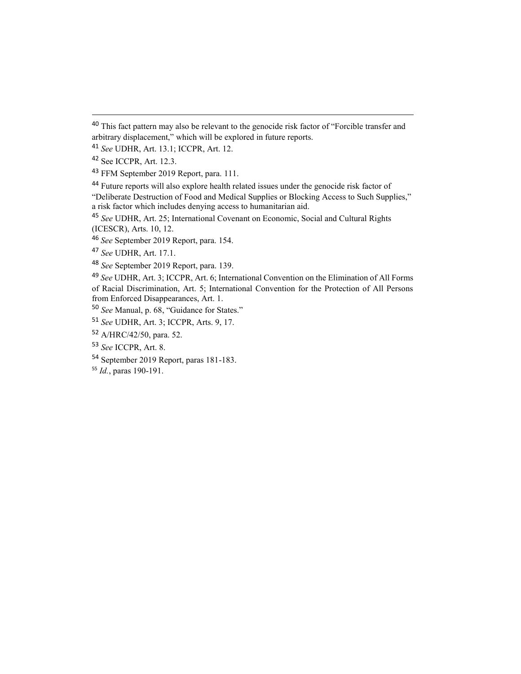"Deliberate Destruction of Food and Medical Supplies or Blocking Access to Such Supplies," a risk factor which includes denying access to humanitarian aid.

<sup>&</sup>lt;sup>40</sup> This fact pattern may also be relevant to the genocide risk factor of "Forcible transfer and arbitrary displacement," which will be explored in future reports.

*See* UDHR, Art. 13.1; ICCPR, Art. 12.

See ICCPR, Art. 12.3.

FFM September 2019 Report, para. 111.

Future reports will also explore health related issues under the genocide risk factor of

 *See* UDHR, Art. 25; International Covenant on Economic, Social and Cultural Rights (ICESCR), Arts. 10, 12.

*See* September 2019 Report, para. 154.

*See* UDHR, Art. 17.1.

*See* September 2019 Report, para. 139.

 *See* UDHR, Art. 3; ICCPR, Art. 6; International Convention on the Elimination of All Forms of Racial Discrimination, Art. 5; International Convention for the Protection of All Persons from Enforced Disappearances, Art. 1.

*See* Manual, p. 68, "Guidance for States."

*See* UDHR, Art. 3; ICCPR, Arts. 9, 17.

A/HRC/42/50, para. 52.

*See* ICCPR, Art. 8.

September 2019 Report, paras 181-183.

*Id.*, paras 190-191.